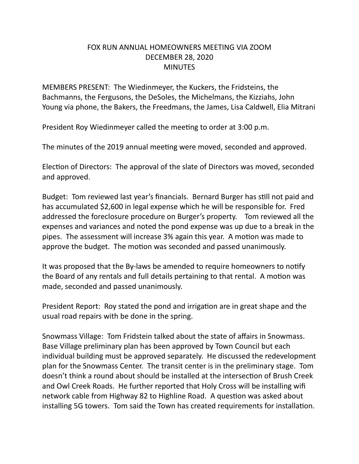## FOX RUN ANNUAL HOMEOWNERS MEETING VIA ZOOM DECEMBER 28, 2020 **MINUTES**

MEMBERS PRESENT: The Wiedinmeyer, the Kuckers, the Fridsteins, the Bachmanns, the Fergusons, the DeSoles, the Michelmans, the Kizziahs, John Young via phone, the Bakers, the Freedmans, the James, Lisa Caldwell, Elia Mitrani

President Roy Wiedinmeyer called the meeting to order at 3:00 p.m.

The minutes of the 2019 annual meeting were moved, seconded and approved.

Election of Directors: The approval of the slate of Directors was moved, seconded and approved.

Budget: Tom reviewed last year's financials. Bernard Burger has still not paid and has accumulated \$2,600 in legal expense which he will be responsible for. Fred addressed the foreclosure procedure on Burger's property. Tom reviewed all the expenses and variances and noted the pond expense was up due to a break in the pipes. The assessment will increase 3% again this year. A motion was made to approve the budget. The motion was seconded and passed unanimously.

It was proposed that the By-laws be amended to require homeowners to notify the Board of any rentals and full details pertaining to that rental. A motion was made, seconded and passed unanimously.

President Report: Roy stated the pond and irrigation are in great shape and the usual road repairs with be done in the spring.

Snowmass Village: Tom Fridstein talked about the state of affairs in Snowmass. Base Village preliminary plan has been approved by Town Council but each individual building must be approved separately. He discussed the redevelopment plan for the Snowmass Center. The transit center is in the preliminary stage. Tom doesn't think a round about should be installed at the intersection of Brush Creek and Owl Creek Roads. He further reported that Holy Cross will be installing wifi network cable from Highway 82 to Highline Road. A question was asked about installing 5G towers. Tom said the Town has created requirements for installation.